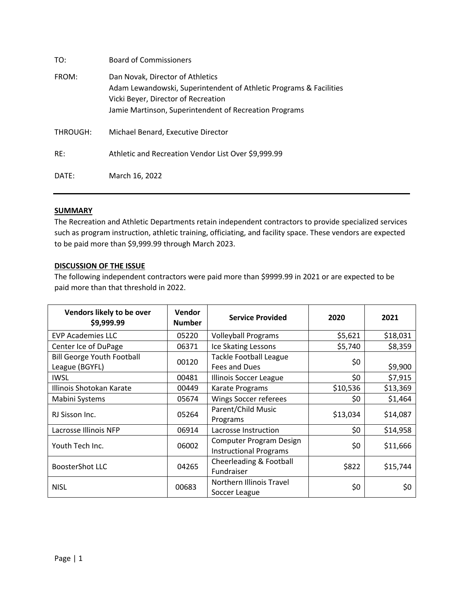| TO:      | <b>Board of Commissioners</b>                                                                                                                                                                           |
|----------|---------------------------------------------------------------------------------------------------------------------------------------------------------------------------------------------------------|
| FROM:    | Dan Novak, Director of Athletics<br>Adam Lewandowski, Superintendent of Athletic Programs & Facilities<br>Vicki Beyer, Director of Recreation<br>Jamie Martinson, Superintendent of Recreation Programs |
| THROUGH: | Michael Benard, Executive Director                                                                                                                                                                      |
| RE:      | Athletic and Recreation Vendor List Over \$9,999.99                                                                                                                                                     |
| DATE:    | March 16, 2022                                                                                                                                                                                          |

### **SUMMARY**

The Recreation and Athletic Departments retain independent contractors to provide specialized services such as program instruction, athletic training, officiating, and facility space. These vendors are expected to be paid more than \$9,999.99 through March 2023.

### **DISCUSSION OF THE ISSUE**

The following independent contractors were paid more than \$9999.99 in 2021 or are expected to be paid more than that threshold in 2022.

| Vendors likely to be over<br>\$9,999.99             | Vendor<br><b>Number</b> | <b>Service Provided</b>                                  | 2020     | 2021     |
|-----------------------------------------------------|-------------------------|----------------------------------------------------------|----------|----------|
| <b>EVP Academies LLC</b>                            | 05220                   | <b>Volleyball Programs</b>                               | \$5,621  | \$18,031 |
| Center Ice of DuPage                                | 06371                   | Ice Skating Lessons                                      | \$5,740  | \$8,359  |
| <b>Bill George Youth Football</b><br>League (BGYFL) | 00120                   | <b>Tackle Football League</b><br>Fees and Dues           | \$0      | \$9,900  |
| <b>IWSL</b>                                         | 00481                   | Illinois Soccer League                                   | \$0      | \$7,915  |
| Illinois Shotokan Karate                            | 00449                   | Karate Programs                                          | \$10,536 | \$13,369 |
| Mabini Systems                                      | 05674                   | Wings Soccer referees                                    | \$0      | \$1,464  |
| RJ Sisson Inc.                                      | 05264                   | Parent/Child Music<br>Programs                           | \$13,034 | \$14,087 |
| Lacrosse Illinois NFP                               | 06914                   | Lacrosse Instruction                                     | \$0      | \$14,958 |
| Youth Tech Inc.                                     | 06002                   | Computer Program Design<br><b>Instructional Programs</b> | \$0      | \$11,666 |
| <b>BoosterShot LLC</b>                              | 04265                   | Cheerleading & Football<br>Fundraiser                    | \$822    | \$15,744 |
| <b>NISL</b>                                         | 00683                   | Northern Illinois Travel<br>Soccer League                | \$0      | \$0      |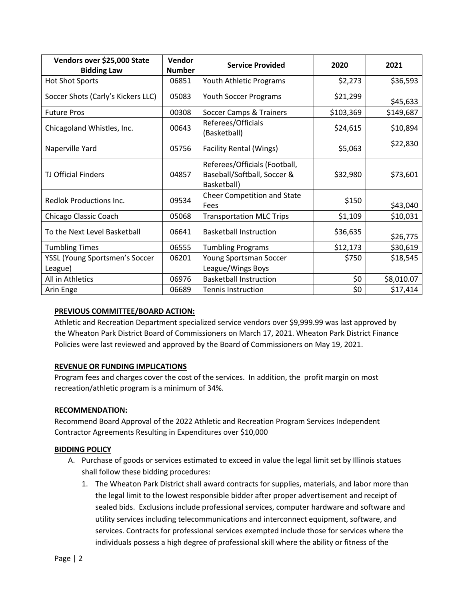| Vendors over \$25,000 State<br><b>Bidding Law</b> | Vendor<br><b>Number</b> | <b>Service Provided</b>                                                     | 2020      | 2021       |
|---------------------------------------------------|-------------------------|-----------------------------------------------------------------------------|-----------|------------|
| <b>Hot Shot Sports</b>                            | 06851                   | Youth Athletic Programs                                                     | \$2,273   | \$36,593   |
| Soccer Shots (Carly's Kickers LLC)                | 05083                   | <b>Youth Soccer Programs</b>                                                | \$21,299  | \$45,633   |
| <b>Future Pros</b>                                | 00308                   | Soccer Camps & Trainers                                                     | \$103,369 | \$149,687  |
| Chicagoland Whistles, Inc.                        | 00643                   | Referees/Officials<br>(Basketball)                                          | \$24,615  | \$10,894   |
| Naperville Yard                                   | 05756                   | <b>Facility Rental (Wings)</b>                                              | \$5,063   | \$22,830   |
| <b>TJ Official Finders</b>                        | 04857                   | Referees/Officials (Football,<br>Baseball/Softball, Soccer &<br>Basketball) | \$32,980  | \$73,601   |
| Redlok Productions Inc.                           | 09534                   | Cheer Competition and State<br>Fees                                         | \$150     | \$43,040   |
| Chicago Classic Coach                             | 05068                   | <b>Transportation MLC Trips</b>                                             | \$1,109   | \$10,031   |
| To the Next Level Basketball                      | 06641                   | <b>Basketball Instruction</b>                                               | \$36,635  | \$26,775   |
| <b>Tumbling Times</b>                             | 06555                   | <b>Tumbling Programs</b>                                                    | \$12,173  | \$30,619   |
| YSSL (Young Sportsmen's Soccer                    | 06201                   | Young Sportsman Soccer                                                      | \$750     | \$18,545   |
| League)                                           |                         | League/Wings Boys                                                           |           |            |
| All in Athletics                                  | 06976                   | <b>Basketball Instruction</b>                                               | \$0       | \$8,010.07 |
| Arin Enge                                         | 06689                   | <b>Tennis Instruction</b>                                                   | \$0       | \$17,414   |

# **PREVIOUS COMMITTEE/BOARD ACTION:**

Athletic and Recreation Department specialized service vendors over \$9,999.99 was last approved by the Wheaton Park District Board of Commissioners on March 17, 2021. Wheaton Park District Finance Policies were last reviewed and approved by the Board of Commissioners on May 19, 2021.

# **REVENUE OR FUNDING IMPLICATIONS**

Program fees and charges cover the cost of the services. In addition, the profit margin on most recreation/athletic program is a minimum of 34%.

# **RECOMMENDATION:**

Recommend Board Approval of the 2022 Athletic and Recreation Program Services Independent Contractor Agreements Resulting in Expenditures over \$10,000

# **BIDDING POLICY**

- A. Purchase of goods or services estimated to exceed in value the legal limit set by Illinois statues shall follow these bidding procedures:
	- 1. The Wheaton Park District shall award contracts for supplies, materials, and labor more than the legal limit to the lowest responsible bidder after proper advertisement and receipt of sealed bids. Exclusions include professional services, computer hardware and software and utility services including telecommunications and interconnect equipment, software, and services. Contracts for professional services exempted include those for services where the individuals possess a high degree of professional skill where the ability or fitness of the